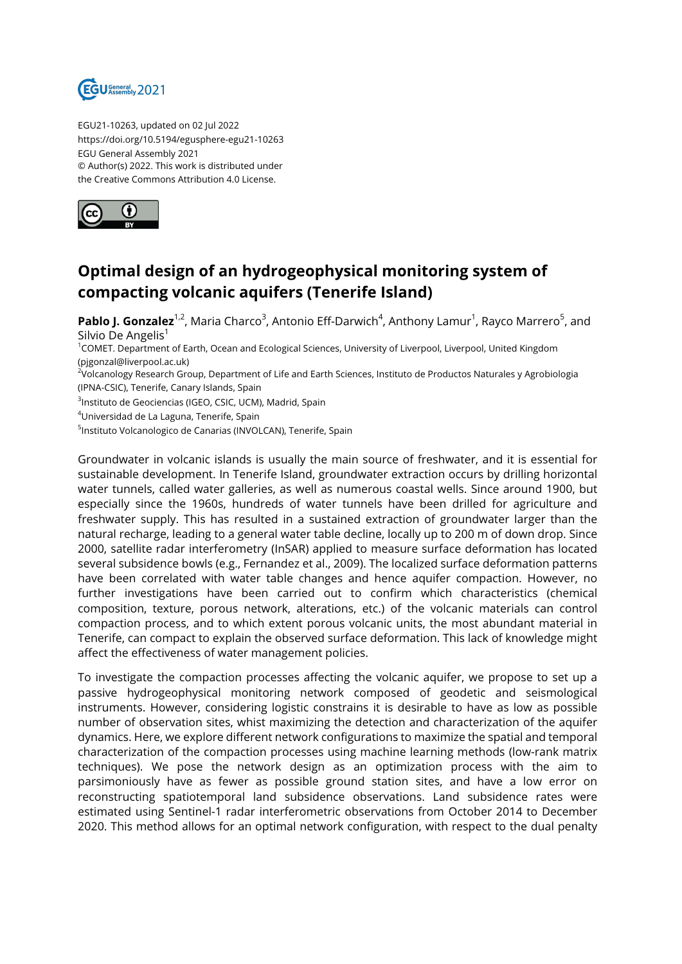

EGU21-10263, updated on 02 Jul 2022 https://doi.org/10.5194/egusphere-egu21-10263 EGU General Assembly 2021 © Author(s) 2022. This work is distributed under the Creative Commons Attribution 4.0 License.



## **Optimal design of an hydrogeophysical monitoring system of compacting volcanic aquifers (Tenerife Island)**

**Pablo J. Gonzalez**<sup>1,2</sup>, Maria Charco<sup>3</sup>, Antonio Eff-Darwich<sup>4</sup>, Anthony Lamur<sup>1</sup>, Rayco Marrero<sup>5</sup>, and Silvio De Angelis<sup>1</sup>

<sup>1</sup>COMET. Department of Earth, Ocean and Ecological Sciences, University of Liverpool, Liverpool, United Kingdom (pjgonzal@liverpool.ac.uk)

<sup>2</sup>Volcanology Research Group, Department of Life and Earth Sciences, Instituto de Productos Naturales y Agrobiologia (IPNA-CSIC), Tenerife, Canary Islands, Spain

<sup>3</sup>Instituto de Geociencias (IGEO, CSIC, UCM), Madrid, Spain

<sup>4</sup>Universidad de La Laguna, Tenerife, Spain

<sup>5</sup>Instituto Volcanologico de Canarias (INVOLCAN), Tenerife, Spain

Groundwater in volcanic islands is usually the main source of freshwater, and it is essential for sustainable development. In Tenerife Island, groundwater extraction occurs by drilling horizontal water tunnels, called water galleries, as well as numerous coastal wells. Since around 1900, but especially since the 1960s, hundreds of water tunnels have been drilled for agriculture and freshwater supply. This has resulted in a sustained extraction of groundwater larger than the natural recharge, leading to a general water table decline, locally up to 200 m of down drop. Since 2000, satellite radar interferometry (InSAR) applied to measure surface deformation has located several subsidence bowls (e.g., Fernandez et al., 2009). The localized surface deformation patterns have been correlated with water table changes and hence aquifer compaction. However, no further investigations have been carried out to confirm which characteristics (chemical composition, texture, porous network, alterations, etc.) of the volcanic materials can control compaction process, and to which extent porous volcanic units, the most abundant material in Tenerife, can compact to explain the observed surface deformation. This lack of knowledge might affect the effectiveness of water management policies.

To investigate the compaction processes affecting the volcanic aquifer, we propose to set up a passive hydrogeophysical monitoring network composed of geodetic and seismological instruments. However, considering logistic constrains it is desirable to have as low as possible number of observation sites, whist maximizing the detection and characterization of the aquifer dynamics. Here, we explore different network configurations to maximize the spatial and temporal characterization of the compaction processes using machine learning methods (low-rank matrix techniques). We pose the network design as an optimization process with the aim to parsimoniously have as fewer as possible ground station sites, and have a low error on reconstructing spatiotemporal land subsidence observations. Land subsidence rates were estimated using Sentinel-1 radar interferometric observations from October 2014 to December 2020. This method allows for an optimal network configuration, with respect to the dual penalty